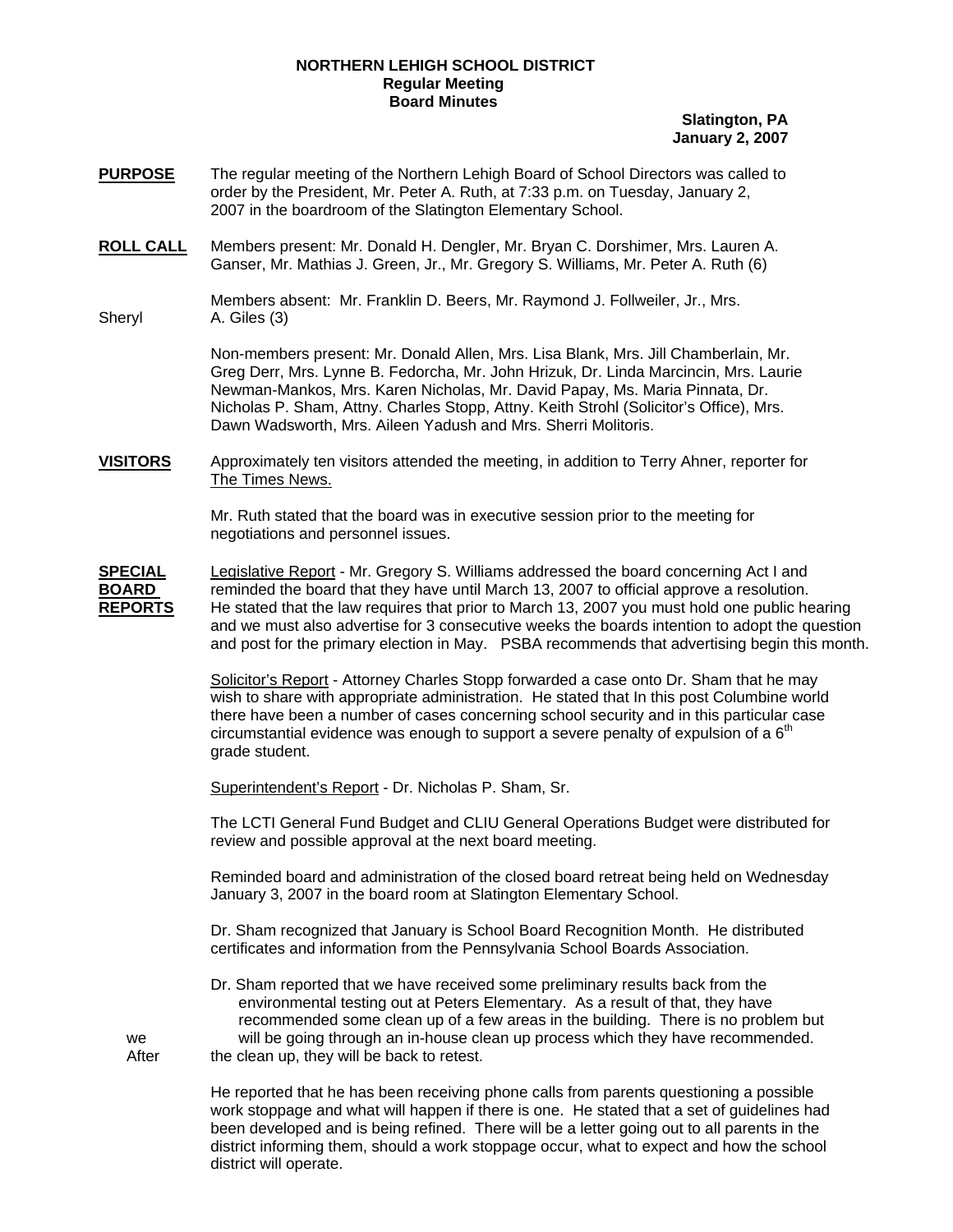## **NORTHERN LEHIGH SCHOOL DISTRICT Regular Meeting Board Minutes**

## **Slatington, PA January 2, 2007**

- **PURPOSE** The regular meeting of the Northern Lehigh Board of School Directors was called to order by the President, Mr. Peter A. Ruth, at 7:33 p.m. on Tuesday, January 2, 2007 in the boardroom of the Slatington Elementary School.
- **ROLL CALL** Members present: Mr. Donald H. Dengler, Mr. Bryan C. Dorshimer, Mrs. Lauren A. Ganser, Mr. Mathias J. Green, Jr., Mr. Gregory S. Williams, Mr. Peter A. Ruth (6)

 Members absent: Mr. Franklin D. Beers, Mr. Raymond J. Follweiler, Jr., Mrs. Sheryl A. Giles (3)

> Non-members present: Mr. Donald Allen, Mrs. Lisa Blank, Mrs. Jill Chamberlain, Mr. Greg Derr, Mrs. Lynne B. Fedorcha, Mr. John Hrizuk, Dr. Linda Marcincin, Mrs. Laurie Newman-Mankos, Mrs. Karen Nicholas, Mr. David Papay, Ms. Maria Pinnata, Dr. Nicholas P. Sham, Attny. Charles Stopp, Attny. Keith Strohl (Solicitor's Office), Mrs. Dawn Wadsworth, Mrs. Aileen Yadush and Mrs. Sherri Molitoris.

**VISITORS** Approximately ten visitors attended the meeting, in addition to Terry Ahner, reporter for The Times News.

> Mr. Ruth stated that the board was in executive session prior to the meeting for negotiations and personnel issues.

**SPECIAL** Legislative Report - Mr. Gregory S. Williams addressed the board concerning Act I and **BOARD** reminded the board that they have until March 13, 2007 to official approve a resolution. **REPORTS** He stated that the law requires that prior to March 13, 2007 you must hold one public hearing and we must also advertise for 3 consecutive weeks the boards intention to adopt the question and post for the primary election in May. PSBA recommends that advertising begin this month.

> Solicitor's Report - Attorney Charles Stopp forwarded a case onto Dr. Sham that he may wish to share with appropriate administration. He stated that In this post Columbine world there have been a number of cases concerning school security and in this particular case circumstantial evidence was enough to support a severe penalty of expulsion of a  $6<sup>m</sup>$ grade student.

Superintendent's Report - Dr. Nicholas P. Sham, Sr.

The LCTI General Fund Budget and CLIU General Operations Budget were distributed for review and possible approval at the next board meeting.

Reminded board and administration of the closed board retreat being held on Wednesday January 3, 2007 in the board room at Slatington Elementary School.

Dr. Sham recognized that January is School Board Recognition Month. He distributed certificates and information from the Pennsylvania School Boards Association.

 Dr. Sham reported that we have received some preliminary results back from the environmental testing out at Peters Elementary. As a result of that, they have recommended some clean up of a few areas in the building. There is no problem but we will be going through an in-house clean up process which they have recommended. After the clean up, they will be back to retest.

> He reported that he has been receiving phone calls from parents questioning a possible work stoppage and what will happen if there is one. He stated that a set of guidelines had been developed and is being refined. There will be a letter going out to all parents in the district informing them, should a work stoppage occur, what to expect and how the school district will operate.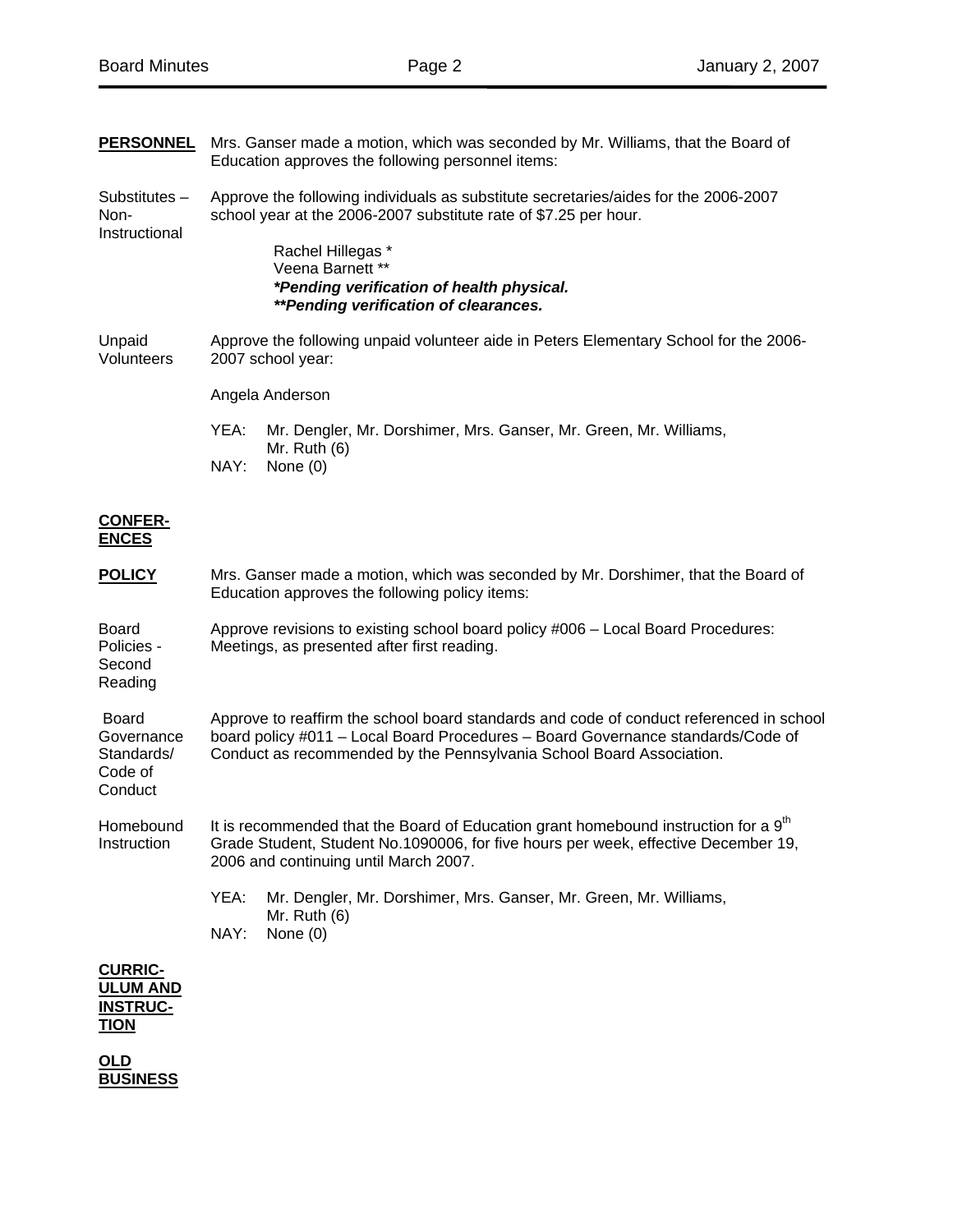| <b>PERSONNEL</b>                                                    | Mrs. Ganser made a motion, which was seconded by Mr. Williams, that the Board of<br>Education approves the following personnel items:                                                                                                              |
|---------------------------------------------------------------------|----------------------------------------------------------------------------------------------------------------------------------------------------------------------------------------------------------------------------------------------------|
| Substitutes $-$<br>Non-<br>Instructional                            | Approve the following individuals as substitute secretaries/aides for the 2006-2007<br>school year at the 2006-2007 substitute rate of \$7.25 per hour.                                                                                            |
|                                                                     | Rachel Hillegas *<br>Veena Barnett **<br>*Pending verification of health physical.<br><i>**Pending verification of clearances.</i>                                                                                                                 |
| Unpaid<br>Volunteers                                                | Approve the following unpaid volunteer aide in Peters Elementary School for the 2006-<br>2007 school year:                                                                                                                                         |
|                                                                     | Angela Anderson                                                                                                                                                                                                                                    |
|                                                                     | YEA:<br>Mr. Dengler, Mr. Dorshimer, Mrs. Ganser, Mr. Green, Mr. Williams,<br>Mr. Ruth $(6)$<br>NAY:<br>None $(0)$                                                                                                                                  |
| <b>CONFER-</b><br><b>ENCES</b>                                      |                                                                                                                                                                                                                                                    |
| <b>POLICY</b>                                                       | Mrs. Ganser made a motion, which was seconded by Mr. Dorshimer, that the Board of<br>Education approves the following policy items:                                                                                                                |
| <b>Board</b><br>Policies -<br>Second<br>Reading                     | Approve revisions to existing school board policy #006 - Local Board Procedures:<br>Meetings, as presented after first reading.                                                                                                                    |
| <b>Board</b><br>Governance<br>Standards/<br>Code of<br>Conduct      | Approve to reaffirm the school board standards and code of conduct referenced in school<br>board policy #011 - Local Board Procedures - Board Governance standards/Code of<br>Conduct as recommended by the Pennsylvania School Board Association. |
| Homebound<br>Instruction                                            | It is recommended that the Board of Education grant homebound instruction for a 9 <sup>th</sup><br>Grade Student, Student No.1090006, for five hours per week, effective December 19,<br>2006 and continuing until March 2007.                     |
|                                                                     | YEA:<br>Mr. Dengler, Mr. Dorshimer, Mrs. Ganser, Mr. Green, Mr. Williams,<br>Mr. Ruth $(6)$<br>NAY:<br>None $(0)$                                                                                                                                  |
| <b>CURRIC-</b><br><b>ULUM AND</b><br><b>INSTRUC-</b><br><b>TION</b> |                                                                                                                                                                                                                                                    |
| OLD<br><b>BUSINESS</b>                                              |                                                                                                                                                                                                                                                    |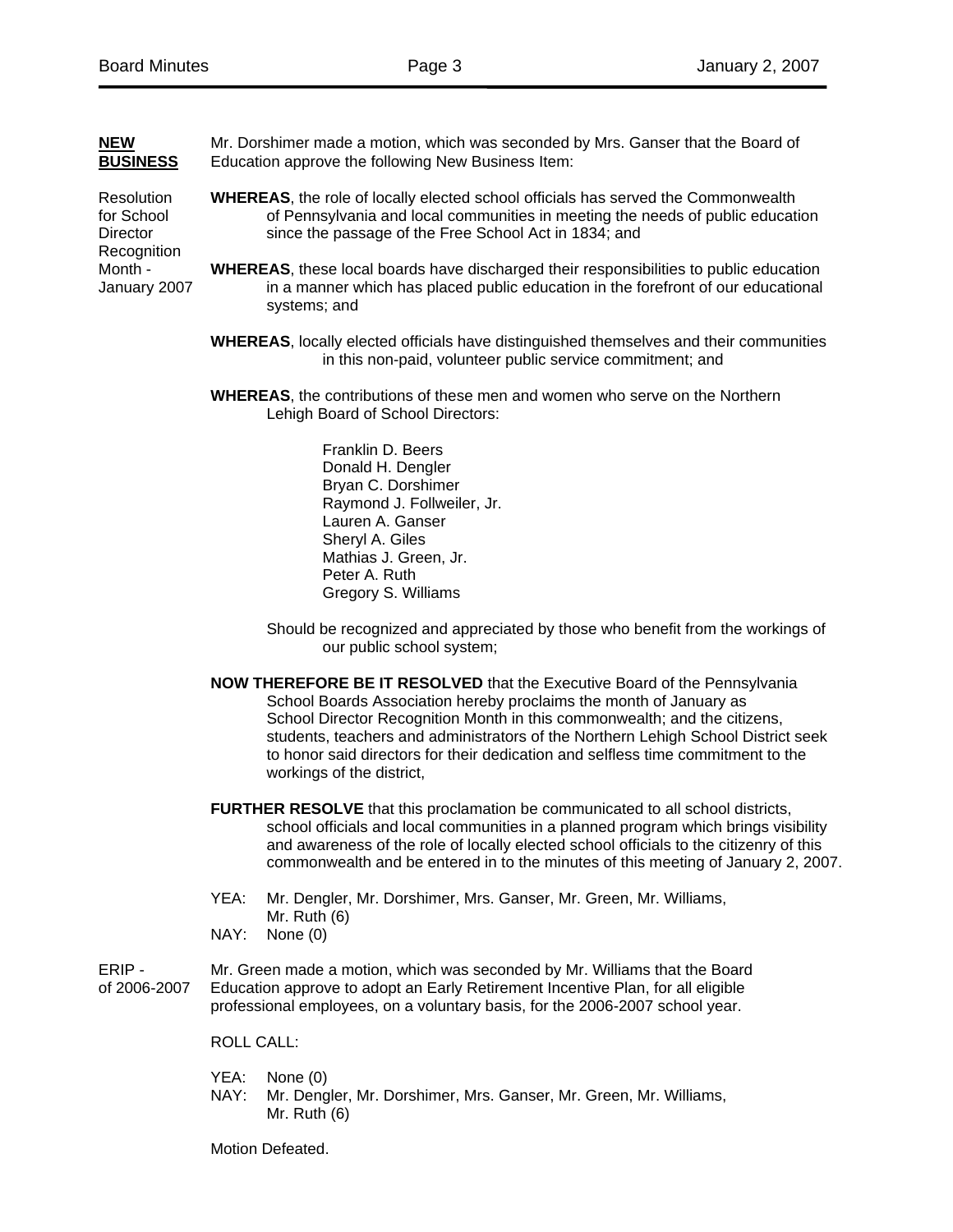| <b>NEW</b><br><b>BUSINESS</b>                                                                | Mr. Dorshimer made a motion, which was seconded by Mrs. Ganser that the Board of<br>Education approve the following New Business Item:                                                                                              |
|----------------------------------------------------------------------------------------------|-------------------------------------------------------------------------------------------------------------------------------------------------------------------------------------------------------------------------------------|
| <b>Resolution</b><br>for School<br><b>Director</b><br>Recognition<br>Month -<br>January 2007 | <b>WHEREAS, the role of locally elected school officials has served the Commonwealth</b><br>of Pennsylvania and local communities in meeting the needs of public education<br>since the passage of the Free School Act in 1834; and |
|                                                                                              | <b>WHEREAS</b> , these local boards have discharged their responsibilities to public education<br>in a manner which has placed public education in the forefront of our educational<br>systems; and                                 |
|                                                                                              | <b>WHEREAS, locally elected officials have distinguished themselves and their communities</b><br>in this non-paid, volunteer public service commitment; and                                                                         |
|                                                                                              | <b>WHEREAS, the contributions of these men and women who serve on the Northern</b><br>Lehigh Board of School Directors:                                                                                                             |
|                                                                                              | Franklin D. Beers<br>Donald H. Dengler<br>Bryan C. Dorshimer<br>Raymond J. Follweiler, Jr.<br>Lauren A. Ganser<br>Sheryl A. Giles<br>Mathias J. Green, Jr.<br>Peter A. Ruth<br>Gregory S. Williams                                  |
|                                                                                              | Should be recognized and appreciated by those who benefit from the workings of<br>our public school system;                                                                                                                         |

 **NOW THEREFORE BE IT RESOLVED** that the Executive Board of the Pennsylvania School Boards Association hereby proclaims the month of January as School Director Recognition Month in this commonwealth; and the citizens, students, teachers and administrators of the Northern Lehigh School District seek to honor said directors for their dedication and selfless time commitment to the workings of the district,

 **FURTHER RESOLVE** that this proclamation be communicated to all school districts, school officials and local communities in a planned program which brings visibility and awareness of the role of locally elected school officials to the citizenry of this commonwealth and be entered in to the minutes of this meeting of January 2, 2007.

- YEA: Mr. Dengler, Mr. Dorshimer, Mrs. Ganser, Mr. Green, Mr. Williams, Mr. Ruth (6)
- NAY: None (0)

ERIP - Mr. Green made a motion, which was seconded by Mr. Williams that the Board of 2006-2007 Education approve to adopt an Early Retirement Incentive Plan, for all eligible professional employees, on a voluntary basis, for the 2006-2007 school year.

ROLL CALL:

- YEA: None (0)
- NAY: Mr. Dengler, Mr. Dorshimer, Mrs. Ganser, Mr. Green, Mr. Williams, Mr. Ruth (6)

Motion Defeated.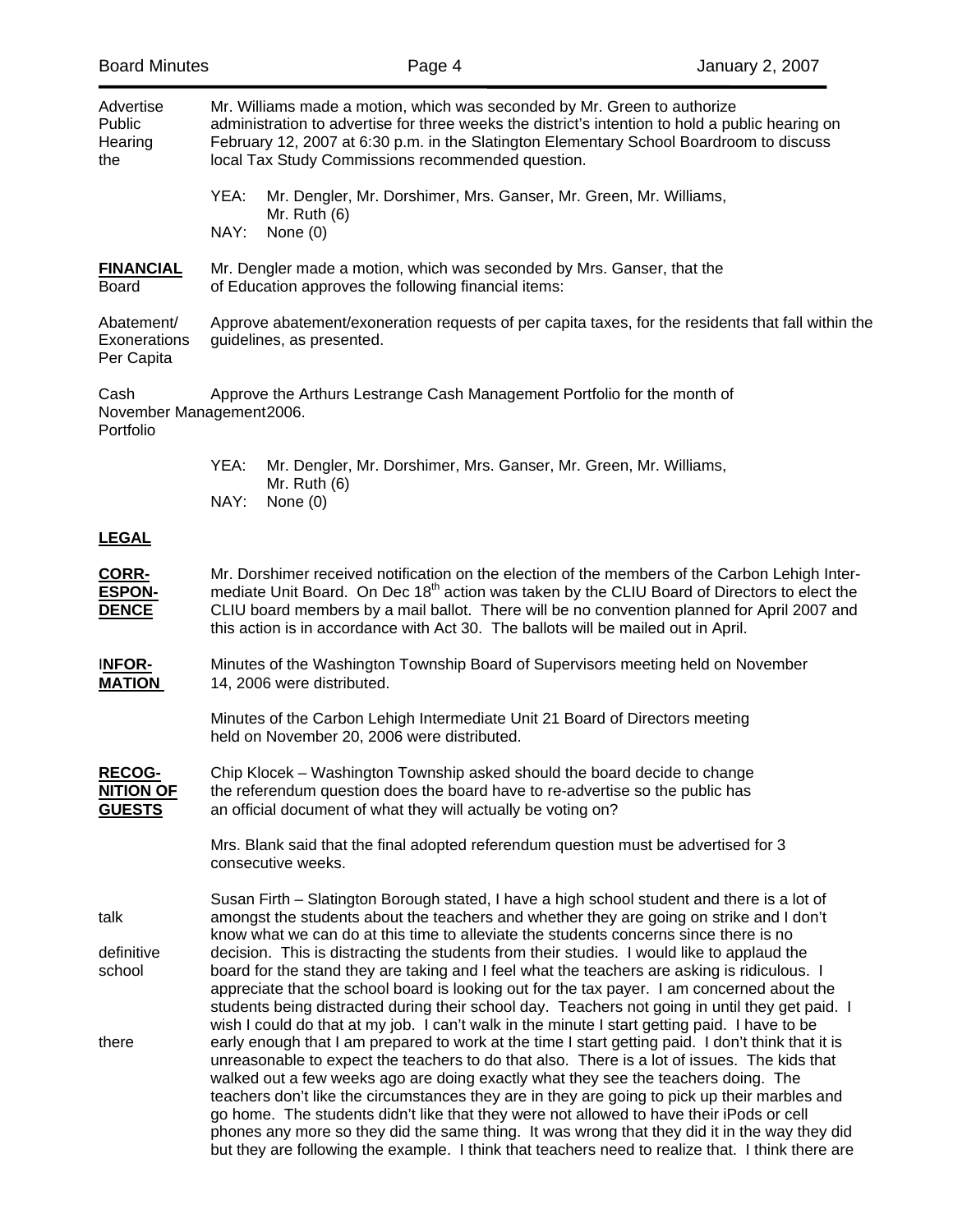| Advertise<br>Public<br>Hearing<br>the              | Mr. Williams made a motion, which was seconded by Mr. Green to authorize<br>administration to advertise for three weeks the district's intention to hold a public hearing on<br>February 12, 2007 at 6:30 p.m. in the Slatington Elementary School Boardroom to discuss<br>local Tax Study Commissions recommended question.                                                                                                                                                                                                                                                                                                                                                                |
|----------------------------------------------------|---------------------------------------------------------------------------------------------------------------------------------------------------------------------------------------------------------------------------------------------------------------------------------------------------------------------------------------------------------------------------------------------------------------------------------------------------------------------------------------------------------------------------------------------------------------------------------------------------------------------------------------------------------------------------------------------|
|                                                    | Mr. Dengler, Mr. Dorshimer, Mrs. Ganser, Mr. Green, Mr. Williams,<br>YEA:<br>Mr. Ruth $(6)$<br>NAY:<br>None $(0)$                                                                                                                                                                                                                                                                                                                                                                                                                                                                                                                                                                           |
| <b>FINANCIAL</b><br><b>Board</b>                   | Mr. Dengler made a motion, which was seconded by Mrs. Ganser, that the<br>of Education approves the following financial items:                                                                                                                                                                                                                                                                                                                                                                                                                                                                                                                                                              |
| Abatement/<br>Exonerations<br>Per Capita           | Approve abatement/exoneration requests of per capita taxes, for the residents that fall within the<br>guidelines, as presented.                                                                                                                                                                                                                                                                                                                                                                                                                                                                                                                                                             |
| Cash<br>Portfolio                                  | Approve the Arthurs Lestrange Cash Management Portfolio for the month of<br>November Management2006.                                                                                                                                                                                                                                                                                                                                                                                                                                                                                                                                                                                        |
|                                                    | YEA:<br>Mr. Dengler, Mr. Dorshimer, Mrs. Ganser, Mr. Green, Mr. Williams,<br>Mr. Ruth $(6)$<br>NAY:<br>None $(0)$                                                                                                                                                                                                                                                                                                                                                                                                                                                                                                                                                                           |
| <u>LEGAL</u>                                       |                                                                                                                                                                                                                                                                                                                                                                                                                                                                                                                                                                                                                                                                                             |
| CORR-<br><b>ESPON-</b><br><b>DENCE</b>             | Mr. Dorshimer received notification on the election of the members of the Carbon Lehigh Inter-<br>mediate Unit Board. On Dec 18 <sup>th</sup> action was taken by the CLIU Board of Directors to elect the<br>CLIU board members by a mail ballot. There will be no convention planned for April 2007 and<br>this action is in accordance with Act 30. The ballots will be mailed out in April.                                                                                                                                                                                                                                                                                             |
| <b>INFOR-</b><br><b>MATION</b>                     | Minutes of the Washington Township Board of Supervisors meeting held on November<br>14, 2006 were distributed.                                                                                                                                                                                                                                                                                                                                                                                                                                                                                                                                                                              |
|                                                    | Minutes of the Carbon Lehigh Intermediate Unit 21 Board of Directors meeting<br>held on November 20, 2006 were distributed.                                                                                                                                                                                                                                                                                                                                                                                                                                                                                                                                                                 |
| <b>RECOG-</b><br><b>NITION OF</b><br><b>GUESTS</b> | Chip Klocek – Washington Township asked should the board decide to change<br>the referendum question does the board have to re-advertise so the public has<br>an official document of what they will actually be voting on?                                                                                                                                                                                                                                                                                                                                                                                                                                                                 |
|                                                    | Mrs. Blank said that the final adopted referendum question must be advertised for 3<br>consecutive weeks.                                                                                                                                                                                                                                                                                                                                                                                                                                                                                                                                                                                   |
| talk                                               | Susan Firth - Slatington Borough stated, I have a high school student and there is a lot of<br>amongst the students about the teachers and whether they are going on strike and I don't<br>know what we can do at this time to alleviate the students concerns since there is no                                                                                                                                                                                                                                                                                                                                                                                                            |
| definitive<br>school                               | decision. This is distracting the students from their studies. I would like to applaud the<br>board for the stand they are taking and I feel what the teachers are asking is ridiculous. I<br>appreciate that the school board is looking out for the tax payer. I am concerned about the<br>students being distracted during their school day. Teachers not going in until they get paid. I<br>wish I could do that at my job. I can't walk in the minute I start getting paid. I have to be                                                                                                                                                                                               |
| there                                              | early enough that I am prepared to work at the time I start getting paid. I don't think that it is<br>unreasonable to expect the teachers to do that also. There is a lot of issues. The kids that<br>walked out a few weeks ago are doing exactly what they see the teachers doing. The<br>teachers don't like the circumstances they are in they are going to pick up their marbles and<br>go home. The students didn't like that they were not allowed to have their iPods or cell<br>phones any more so they did the same thing. It was wrong that they did it in the way they did<br>but they are following the example. I think that teachers need to realize that. I think there are |